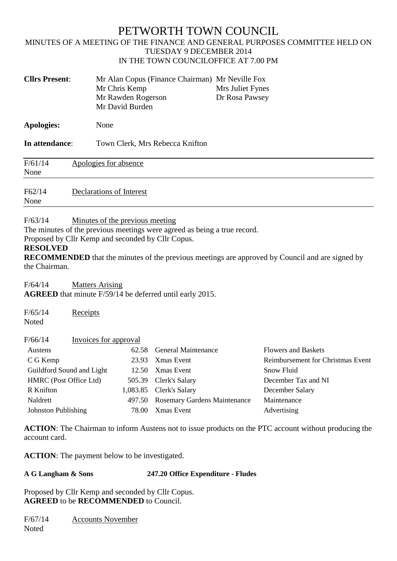# PETWORTH TOWN COUNCIL

## MINUTES OF A MEETING OF THE FINANCE AND GENERAL PURPOSES COMMITTEE HELD ON TUESDAY 9 DECEMBER 2014 IN THE TOWN COUNCILOFFICE AT 7.00 PM

| <b>Cllrs Present:</b> | Mr Alan Copus (Finance Chairman) Mr Neville Fox<br>Mr Chris Kemp<br>Mr Rawden Rogerson<br>Mr David Burden | Mrs Juliet Fynes<br>Dr Rosa Pawsey |  |
|-----------------------|-----------------------------------------------------------------------------------------------------------|------------------------------------|--|
| <b>Apologies:</b>     | None                                                                                                      |                                    |  |
| In attendance:        | Town Clerk, Mrs Rebecca Knifton                                                                           |                                    |  |
| F/61/14<br>None       | Apologies for absence                                                                                     |                                    |  |
| F62/14                | Declarations of Interest                                                                                  |                                    |  |

None

## F/63/14 Minutes of the previous meeting

The minutes of the previous meetings were agreed as being a true record.

Proposed by Cllr Kemp and seconded by Cllr Copus.

#### **RESOLVED**

**RECOMMENDED** that the minutes of the previous meetings are approved by Council and are signed by the Chairman.

F/64/14 Matters Arising

**AGREED** that minute F/59/14 be deferred until early 2015.

| F/65/14<br>Receipts<br>Noted     |        |                                     |                                   |
|----------------------------------|--------|-------------------------------------|-----------------------------------|
| F/66/14<br>Invoices for approval |        |                                     |                                   |
| Austens                          | 62.58  | <b>General Maintenance</b>          | <b>Flowers and Baskets</b>        |
| C G Kemp                         | 23.93  | Xmas Event                          | Reimbursement for Christmas Event |
| Guildford Sound and Light        | 12.50  | <b>X</b> mas Event                  | Snow Fluid                        |
| HMRC (Post Office Ltd)           | 505.39 | Clerk's Salary                      | December Tax and NI               |
| R Knifton                        |        | 1,083.85 Clerk's Salary             | December Salary                   |
| Naldrett                         | 497.50 | <b>Rosemary Gardens Maintenance</b> | Maintenance                       |
| Johnston Publishing              | 78.00  | <b>X</b> mas Event                  | Advertising                       |

**ACTION**: The Chairman to inform Austens not to issue products on the PTC account without producing the account card.

**ACTION**: The payment below to be investigated.

# **A G Langham & Sons 247.20 Office Expenditure - Fludes**

Proposed by Cllr Kemp and seconded by Cllr Copus. **AGREED** to be **RECOMMENDED** to Council.

| F/67/14 | <b>Accounts November</b> |
|---------|--------------------------|
| Noted   |                          |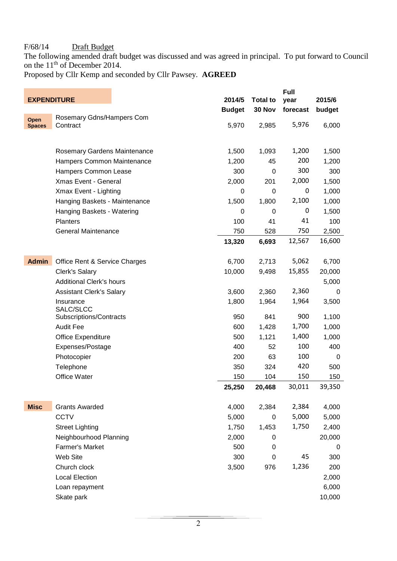## F/68/14 Draft Budget

The following amended draft budget was discussed and was agreed in principal. To put forward to Council on the 11<sup>th</sup> of December 2014.

Proposed by Cllr Kemp and seconded by Cllr Pawsey. **AGREED**

| <b>EXPENDITURE</b> |                                 | 2014/5        | <b>Total to</b> | <b>Full</b><br>year | 2015/6 |
|--------------------|---------------------------------|---------------|-----------------|---------------------|--------|
|                    |                                 | <b>Budget</b> | 30 Nov          | forecast            | budget |
| Open               | Rosemary Gdns/Hampers Com       |               |                 |                     |        |
| <b>Spaces</b>      | Contract                        | 5,970         | 2,985           | 5,976               | 6,000  |
|                    |                                 |               |                 |                     |        |
|                    | Rosemary Gardens Maintenance    | 1,500         | 1,093           | 1,200               | 1,500  |
|                    | Hampers Common Maintenance      | 1,200         | 45              | 200                 | 1,200  |
|                    | Hampers Common Lease            | 300           | 0               | 300                 | 300    |
|                    | Xmas Event - General            | 2,000         | 201             | 2,000               | 1,500  |
|                    | Xmax Event - Lighting           | 0             | 0               | 0                   | 1,000  |
|                    | Hanging Baskets - Maintenance   | 1,500         | 1,800           | 2,100               | 1,000  |
|                    | Hanging Baskets - Watering      | 0             | 0               | 0                   | 1,500  |
|                    | <b>Planters</b>                 | 100           | 41              | 41                  | 100    |
|                    | <b>General Maintenance</b>      | 750           | 528             | 750                 | 2,500  |
|                    |                                 | 13,320        | 6,693           | 12,567              | 16,600 |
|                    |                                 |               |                 |                     |        |
| <b>Admin</b>       | Office Rent & Service Charges   | 6,700         | 2,713           | 5,062               | 6,700  |
|                    | <b>Clerk's Salary</b>           | 10,000        | 9,498           | 15,855              | 20,000 |
|                    | <b>Additional Clerk's hours</b> |               |                 |                     | 5,000  |
|                    | <b>Assistant Clerk's Salary</b> | 3,600         | 2,360           | 2,360               | 0      |
|                    | Insurance<br>SALC/SLCC          | 1,800         | 1,964           | 1,964               | 3,500  |
|                    | Subscriptions/Contracts         | 950           | 841             | 900                 | 1,100  |
|                    | <b>Audit Fee</b>                | 600           | 1,428           | 1,700               | 1,000  |
|                    | Office Expenditure              | 500           | 1,121           | 1,400               | 1,000  |
|                    | Expenses/Postage                | 400           | 52              | 100                 | 400    |
|                    | Photocopier                     | 200           | 63              | 100                 | 0      |
|                    | Telephone                       | 350           | 324             | 420                 | 500    |
|                    | Office Water                    | 150           | 104             | 150                 | 150    |
|                    |                                 | 25,250        | 20,468          | 30,011              | 39,350 |
|                    |                                 |               |                 |                     |        |
| <b>Misc</b>        | <b>Grants Awarded</b>           | 4,000         | 2,384           | 2,384               | 4,000  |
|                    | <b>CCTV</b>                     | 5,000         | 0               | 5,000               | 5,000  |
|                    | <b>Street Lighting</b>          | 1,750         | 1,453           | 1,750               | 2,400  |
|                    | Neighbourhood Planning          | 2,000         | 0               |                     | 20,000 |
|                    | <b>Farmer's Market</b>          | 500           | 0               |                     | 0      |
|                    | Web Site                        | 300           | $\pmb{0}$       | 45                  | 300    |
|                    | Church clock                    | 3,500         | 976             | 1,236               | 200    |
|                    | <b>Local Election</b>           |               |                 |                     | 2,000  |
|                    | Loan repayment                  |               |                 |                     | 6,000  |
|                    | Skate park                      |               |                 |                     | 10,000 |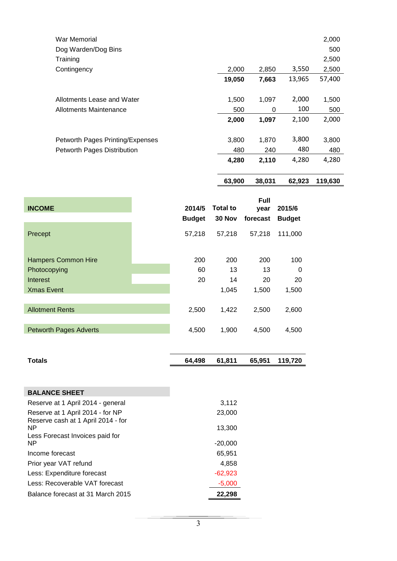|                                  | 63,900 | 38,031 | 62,923 | 119,630 |
|----------------------------------|--------|--------|--------|---------|
|                                  | 4,280  | 2,110  | 4,280  | 4,280   |
| Petworth Pages Distribution      | 480    | 240    | 480    | 480     |
| Petworth Pages Printing/Expenses | 3,800  | 1,870  | 3,800  | 3,800   |
|                                  | 2,000  | 1,097  | 2,100  | 2,000   |
| Allotments Maintenance           | 500    | 0      | 100    | 500     |
| Allotments Lease and Water       | 1,500  | 1,097  | 2,000  | 1,500   |
|                                  | 19,050 | 7,663  | 13,965 | 57,400  |
| Contingency                      | 2,000  | 2,850  | 3,550  | 2,500   |
| Training                         |        |        |        | 2,500   |
| Dog Warden/Dog Bins              |        |        |        | 500     |
| War Memorial                     |        |        |        | 2,000   |

| <b>INCOME</b>                                                               | 2014/5<br><b>Budget</b> | Total to<br>30 Nov       | Full<br>year<br>forecast | 2015/6<br><b>Budget</b>        |
|-----------------------------------------------------------------------------|-------------------------|--------------------------|--------------------------|--------------------------------|
| Precept                                                                     | 57,218                  | 57,218                   | 57,218                   | 111,000                        |
| <b>Hampers Common Hire</b><br>Photocopying<br>Interest<br><b>Xmas Event</b> | 200<br>60<br>20         | 200<br>13<br>14<br>1,045 | 200<br>13<br>20<br>1,500 | 100<br>$\Omega$<br>20<br>1,500 |
| <b>Allotment Rents</b>                                                      | 2,500                   | 1,422                    | 2,500                    | 2,600                          |
| <b>Petworth Pages Adverts</b>                                               | 4,500                   | 1,900                    | 4.500                    | 4,500                          |

| 64,498 | 61,811    | 65,951    | 119,720 |
|--------|-----------|-----------|---------|
|        |           |           |         |
|        |           |           |         |
|        | 3,112     |           |         |
|        | 23,000    |           |         |
|        | 13,300    |           |         |
|        |           |           |         |
|        |           |           |         |
|        | 65,951    |           |         |
|        | 4,858     |           |         |
|        | $-62,923$ |           |         |
|        | $-5,000$  |           |         |
|        | 22,298    |           |         |
|        |           | $-20,000$ |         |